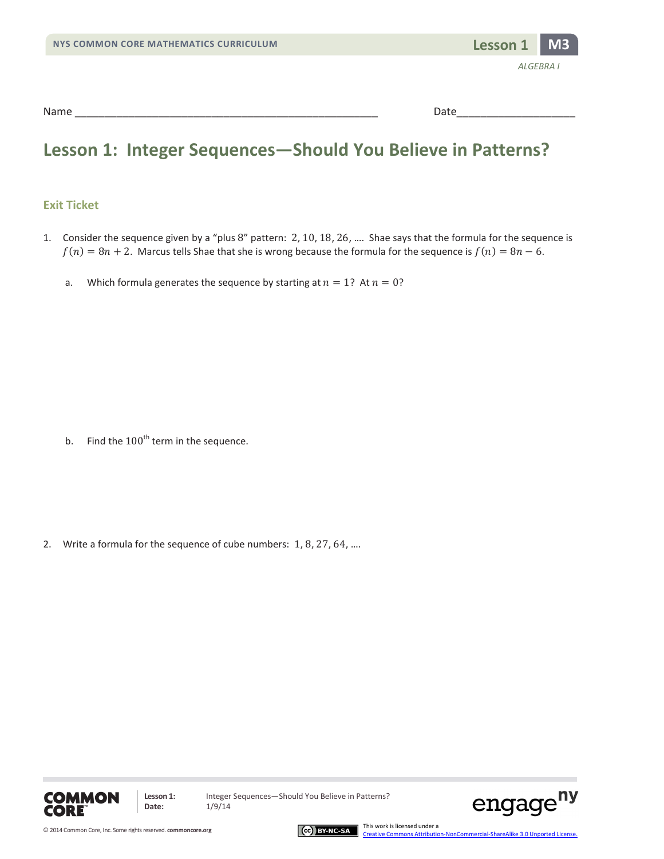| NYS COMMON CORE MATHEMATICS CURRICULUM | Lesson 1 MB |  |
|----------------------------------------|-------------|--|
|----------------------------------------|-------------|--|



### **Lesson 1: Integer Sequences—Should You Believe in Patterns?**

#### **Exit Ticket**

- 1. Consider the sequence given by a "plus 8" pattern: 2, 10, 18, 26, …. Shae says that the formula for the sequence is  $f(n) = 8n + 2$ . Marcus tells Shae that she is wrong because the formula for the sequence is  $f(n) = 8n - 6$ .
	- a. Which formula generates the sequence by starting at  $n = 1$ ? At  $n = 0$ ?

b. Find the  $100<sup>th</sup>$  term in the sequence.

2. Write a formula for the sequence of cube numbers: 1, 8, 27, 64, ....





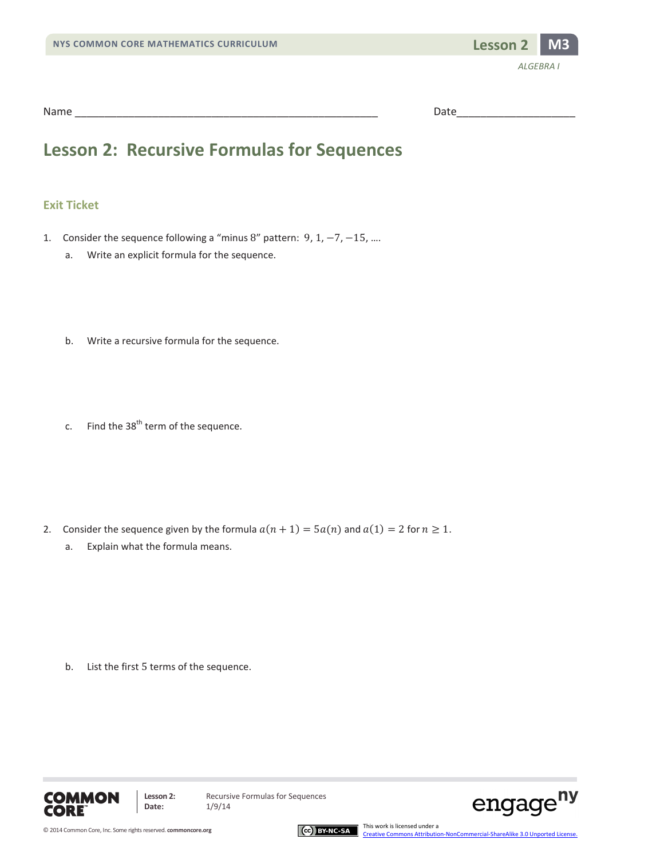

### **Lesson 2: Recursive Formulas for Sequences**

#### **Exit Ticket**

- 1. Consider the sequence following a "minus 8" pattern: 9, 1, −7, −15, ….
	- a. Write an explicit formula for the sequence.
	- b. Write a recursive formula for the sequence.
	- c. Find the  $38<sup>th</sup>$  term of the sequence.

- 2. Consider the sequence given by the formula  $a(n + 1) = 5a(n)$  and  $a(1) = 2$  for  $n \ge 1$ .
	- a. Explain what the formula means.

b. List the first 5 terms of the sequence.





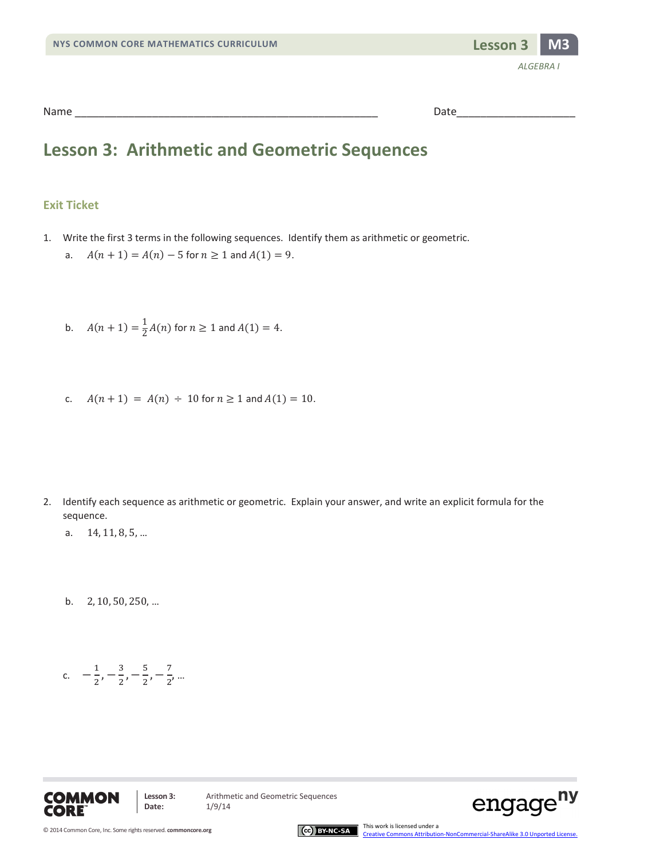

### **Lesson 3: Arithmetic and Geometric Sequences**

#### **Exit Ticket**

- 1. Write the first 3 terms in the following sequences. Identify them as arithmetic or geometric.
	- a.  $A(n + 1) = A(n) 5$  for  $n \ge 1$  and  $A(1) = 9$ .

b. 
$$
A(n + 1) = \frac{1}{2}A(n)
$$
 for  $n \ge 1$  and  $A(1) = 4$ .

c.  $A(n + 1) = A(n) \div 10$  for  $n \ge 1$  and  $A(1) = 10$ .

- 2. Identify each sequence as arithmetic or geometric. Explain your answer, and write an explicit formula for the sequence.
	- a. 14, 11, 8, 5, …
	- b. 2, 10, 50, 250, …

c. 
$$
-\frac{1}{2}, -\frac{3}{2}, -\frac{5}{2}, -\frac{7}{2}, ...
$$





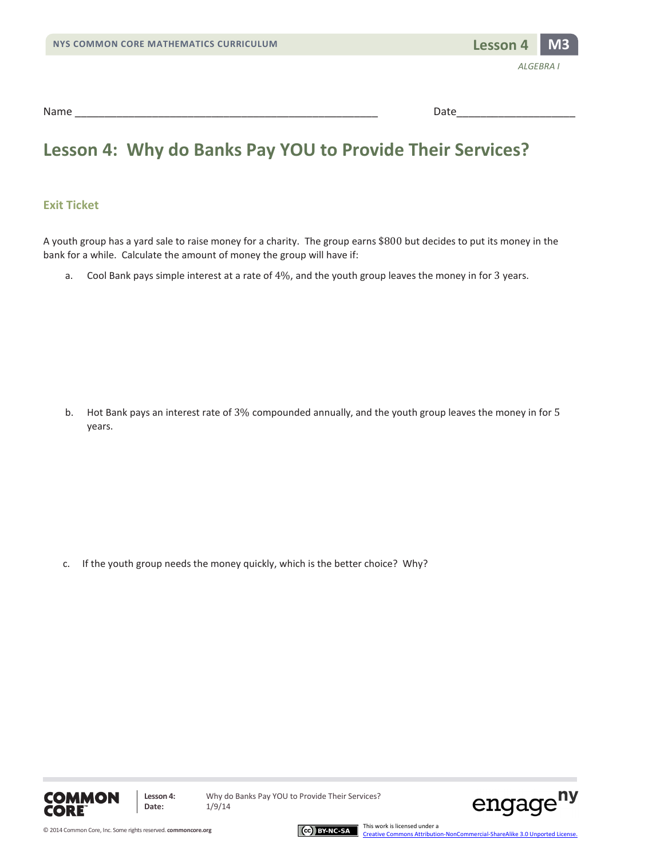

### **Lesson 4: Why do Banks Pay YOU to Provide Their Services?**

#### **Exit Ticket**

A youth group has a yard sale to raise money for a charity. The group earns \$800 but decides to put its money in the bank for a while. Calculate the amount of money the group will have if:

a. Cool Bank pays simple interest at a rate of 4%, and the youth group leaves the money in for 3 years.

b. Hot Bank pays an interest rate of 3% compounded annually, and the youth group leaves the money in for 5 years.

c. If the youth group needs the money quickly, which is the better choice? Why?





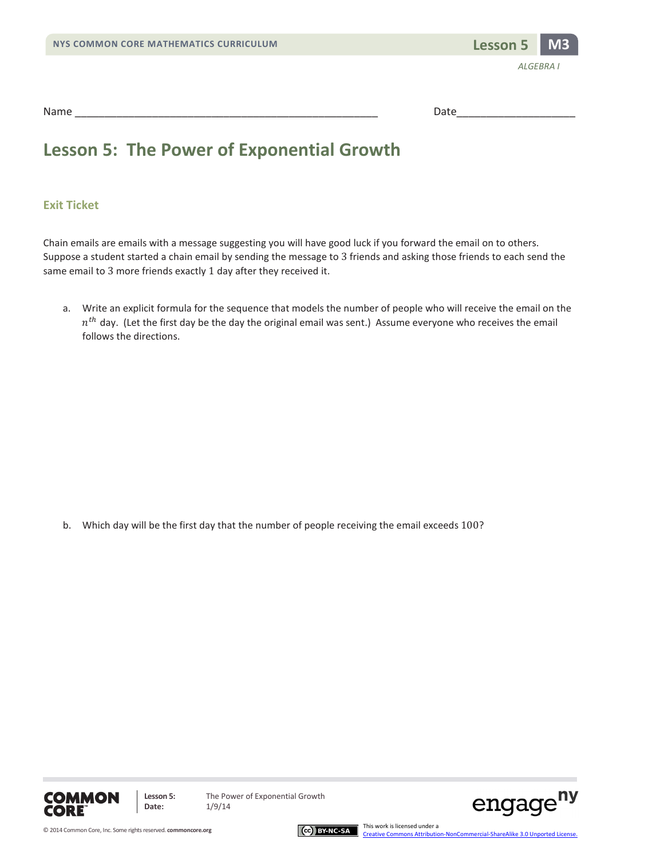

### **Lesson 5: The Power of Exponential Growth**

#### **Exit Ticket**

Chain emails are emails with a message suggesting you will have good luck if you forward the email on to others. Suppose a student started a chain email by sending the message to 3 friends and asking those friends to each send the same email to 3 more friends exactly 1 day after they received it.

a. Write an explicit formula for the sequence that models the number of people who will receive the email on the  $n^{th}$  day. (Let the first day be the day the original email was sent.) Assume everyone who receives the email follows the directions.

b. Which day will be the first day that the number of people receiving the email exceeds 100?





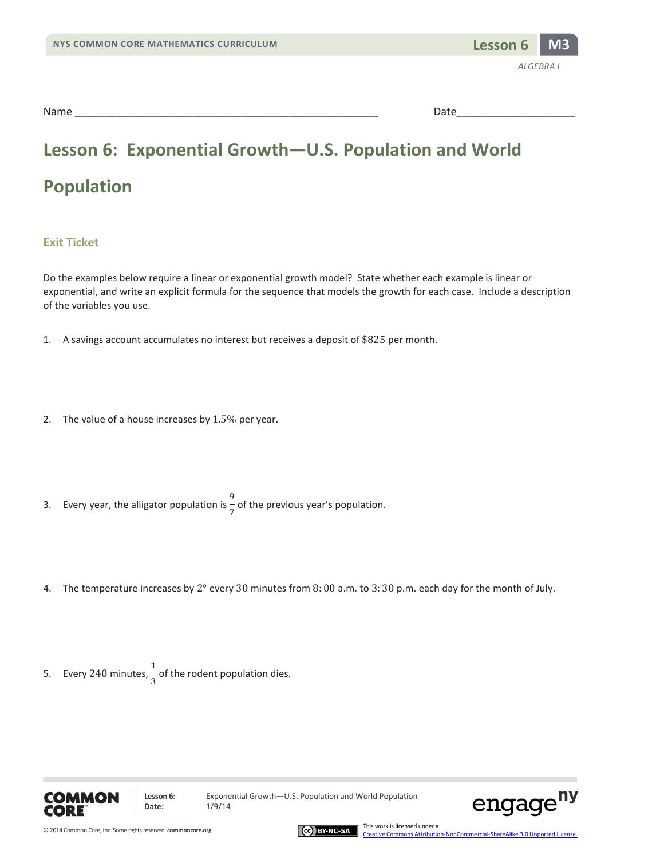

## **Lesson 6: Exponential Growth—U.S. Population and World Population**

#### **Exit Ticket**

Do the examples below require a linear or exponential growth model? State whether each example is linear or exponential, and write an explicit formula for the sequence that models the growth for each case. Include a description of the variables you use.

- 1. A savings account accumulates no interest but receives a deposit of \$825 per month.
- 2. The value of a house increases by 1.5% per year.
- 3. Every year, the alligator population is  $\frac{9}{7}$  of the previous year's population.
- 4. The temperature increases by 2° every 30 minutes from 8: 00 a.m. to 3: 30 p.m. each day for the month of July.
- 5. Every 240 minutes,  $\frac{1}{3}$  of the rodent population dies.



**Lesson 6:** Exponential Growth—U.S. Population and World Population



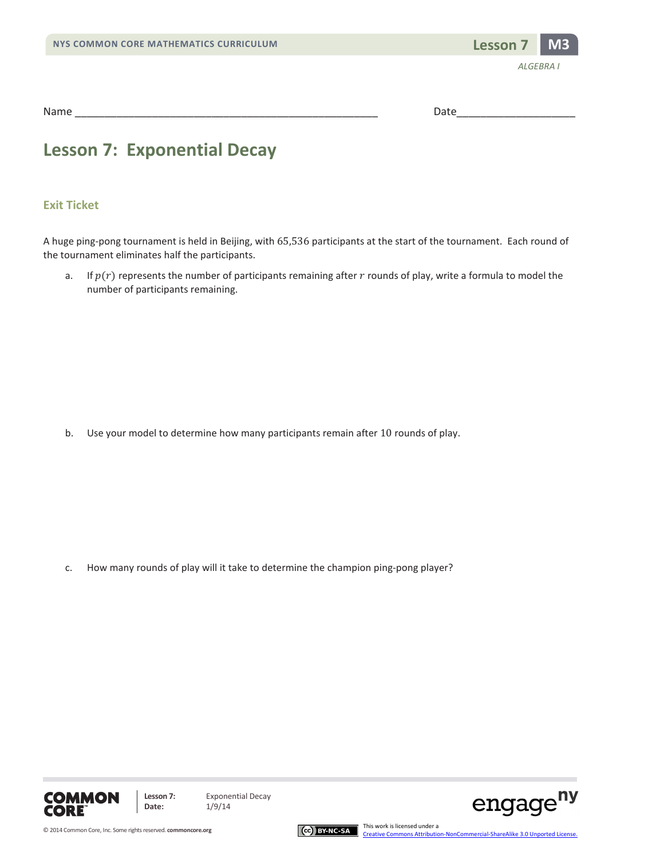

### **Lesson 7: Exponential Decay**

#### **Exit Ticket**

A huge ping-pong tournament is held in Beijing, with 65,536 participants at the start of the tournament. Each round of the tournament eliminates half the participants.

a. If  $p(r)$  represents the number of participants remaining after r rounds of play, write a formula to model the number of participants remaining.

b. Use your model to determine how many participants remain after 10 rounds of play.

c. How many rounds of play will it take to determine the champion ping-pong player?







engage<sup>ny</sup>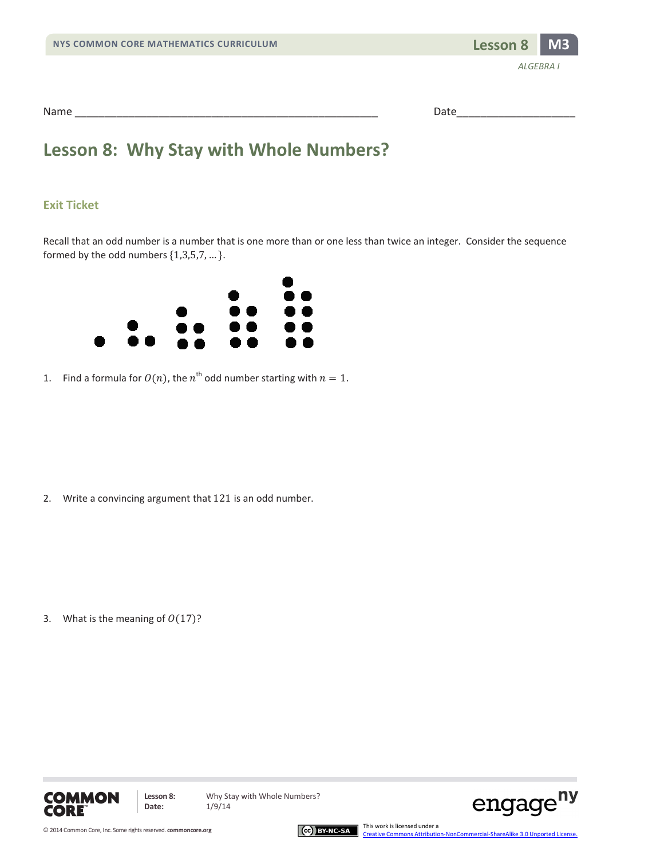



| Name | .     |
|------|-------|
|      | $  -$ |

### **Lesson 8: Why Stay with Whole Numbers?**

#### **Exit Ticket**

Recall that an odd number is a number that is one more than or one less than twice an integer. Consider the sequence formed by the odd numbers  $\{1,3,5,7,...\}$ .



1. Find a formula for  $O(n)$ , the  $n^{th}$  odd number starting with  $n = 1$ .

2. Write a convincing argument that 121 is an odd number.

3. What is the meaning of  $O(17)$ ?







[Creative Commons Attribution-NonCommercial-ShareAlike 3.0 Unported License.](http://creativecommons.org/licenses/by-nc-sa/3.0/deed.en_US)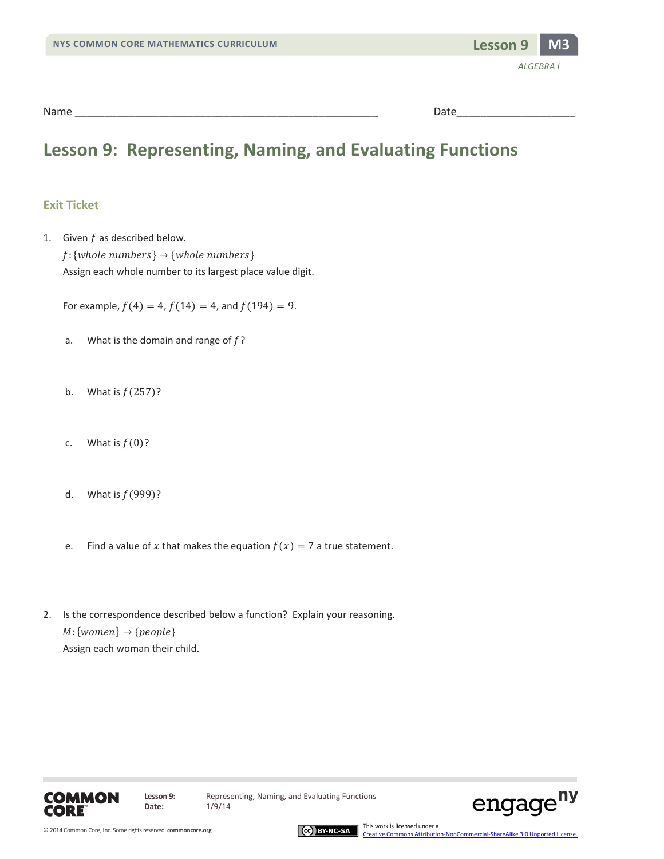

### **Lesson 9: Representing, Naming, and Evaluating Functions**

#### **Exit Ticket**

1. Given  $f$  as described below.  $f$ : {whole numbers}  $\rightarrow$  {whole numbers} Assign each whole number to its largest place value digit.

For example,  $f(4) = 4$ ,  $f(14) = 4$ , and  $f(194) = 9$ .

- a. What is the domain and range of  $f$ ?
- b. What is  $f(257)$ ?
- c. What is  $f(0)$ ?
- d. What is  $f(999)$ ?
- e. Find a value of x that makes the equation  $f(x) = 7$  a true statement.
- 2. Is the correspondence described below a function? Explain your reasoning.  $M$ : {women}  $\rightarrow$  {people} Assign each woman their child.





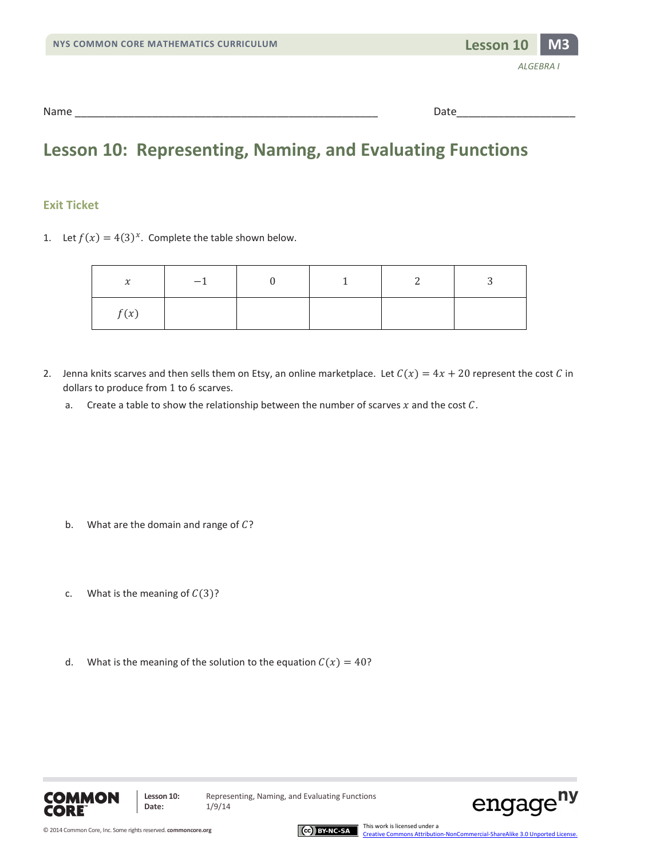

### **Lesson 10: Representing, Naming, and Evaluating Functions**

#### **Exit Ticket**

1. Let  $f(x) = 4(3)^x$ . Complete the table shown below.

| $\mathbf{v}$<br>$\lambda$ | $-1$ |  |  |
|---------------------------|------|--|--|
| f(x)                      |      |  |  |

- 2. Jenna knits scarves and then sells them on Etsy, an online marketplace. Let  $C(x) = 4x + 20$  represent the cost C in dollars to produce from 1 to 6 scarves.
	- a. Create a table to show the relationship between the number of scarves  $x$  and the cost  $C$ .

- b. What are the domain and range of  $C$ ?
- c. What is the meaning of  $C(3)$ ?
- d. What is the meaning of the solution to the equation  $C(x) = 40$ ?





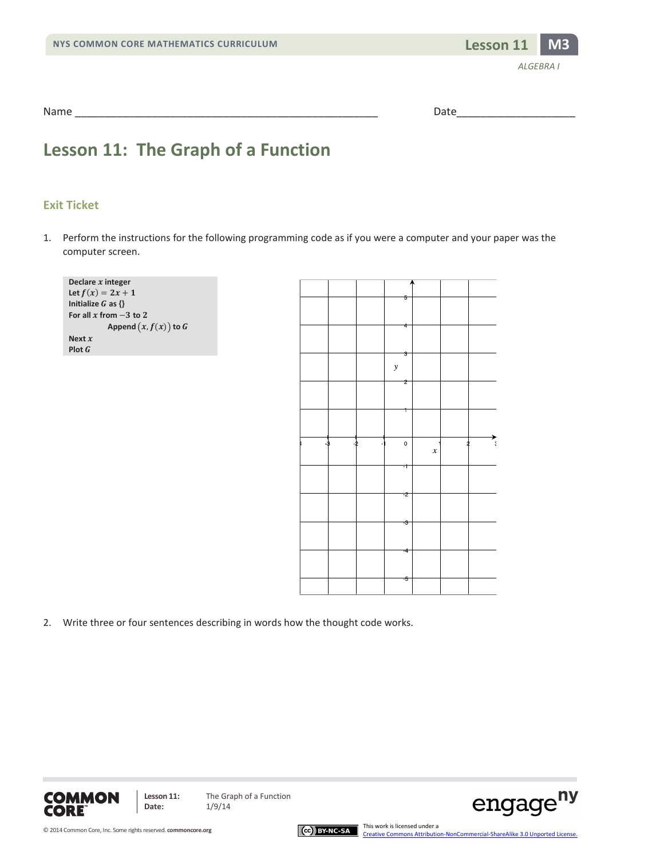

### **Lesson 11: The Graph of a Function**

#### **Exit Ticket**

1. Perform the instructions for the following programming code as if you were a computer and your paper was the computer screen.

| Declare $x$ integer      |  |
|--------------------------|--|
| Let $f(x) = 2x + 1$      |  |
| Initialize $G$ as $\{\}$ |  |
| For all x from $-3$ to 2 |  |
| Append $(x, f(x))$ to G  |  |
| Next $x$                 |  |
| Plot $G$                 |  |



2. Write three or four sentences describing in words how the thought code works.



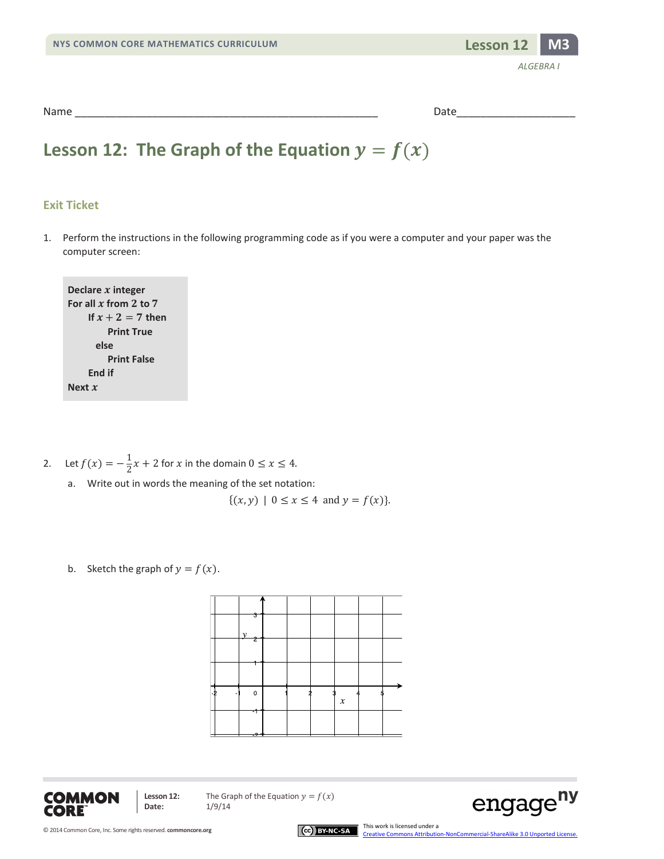

### **Lesson 12: The Graph of the Equation**  $y = f(x)$

#### **Exit Ticket**

1. Perform the instructions in the following programming code as if you were a computer and your paper was the computer screen:

**Declare integer** For all  $x$  from  $2$  to  $7$ **If**  $x + 2 = 7$  **then Print True else Print False End if Next** 

- 2. Let  $f(x) = -\frac{1}{2}x + 2$  for  $x$  in the domain  $0 \le x \le 4$ .
	- a. Write out in words the meaning of the set notation:

 $\{(x, y) | 0 \le x \le 4 \text{ and } y = f(x)\}.$ 

b. Sketch the graph of  $y = f(x)$ .





**Lesson 12:** The Graph of the Equation  $y = f(x)$ <br>Date:  $1/9/14$ **Date:** 1/9/14

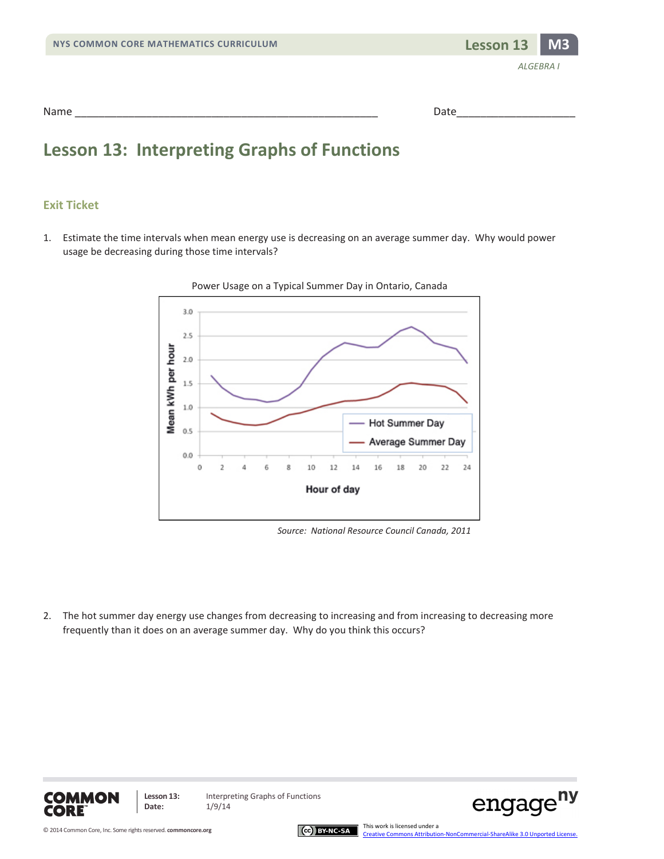

| Name   |       |
|--------|-------|
| ______ | $  -$ |

### **Lesson 13: Interpreting Graphs of Functions**

#### **Exit Ticket**

1. Estimate the time intervals when mean energy use is decreasing on an average summer day. Why would power usage be decreasing during those time intervals?



*Source: National Resource Council Canada, 2011*

2. The hot summer day energy use changes from decreasing to increasing and from increasing to decreasing more frequently than it does on an average summer day. Why do you think this occurs?



**Lesson 13:** Interpreting Graphs of Functions

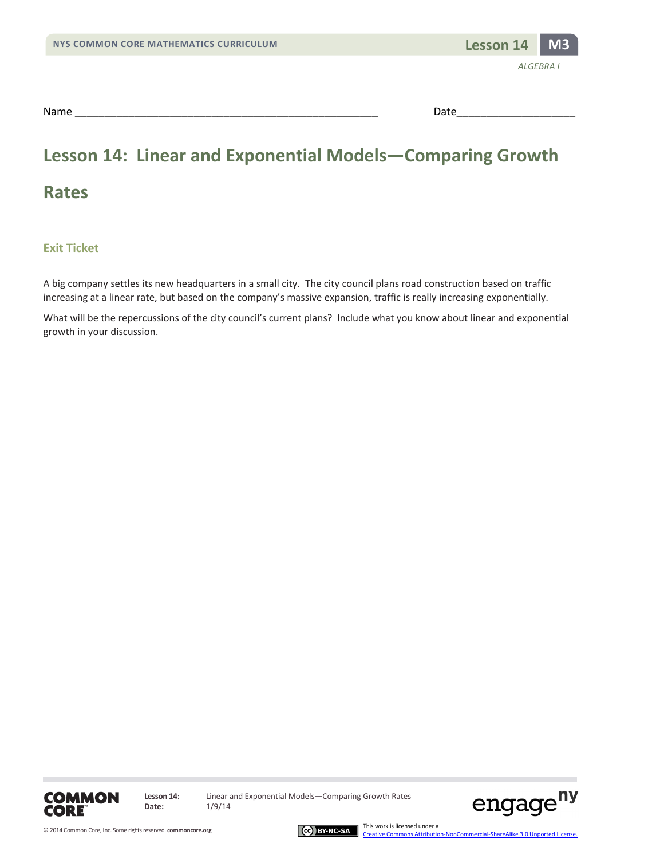

# **Lesson 14: Linear and Exponential Models—Comparing Growth**

**Exit Ticket**

**Rates** 

A big company settles its new headquarters in a small city. The city council plans road construction based on traffic increasing at a linear rate, but based on the company's massive expansion, traffic is really increasing exponentially.

What will be the repercussions of the city council's current plans? Include what you know about linear and exponential growth in your discussion.





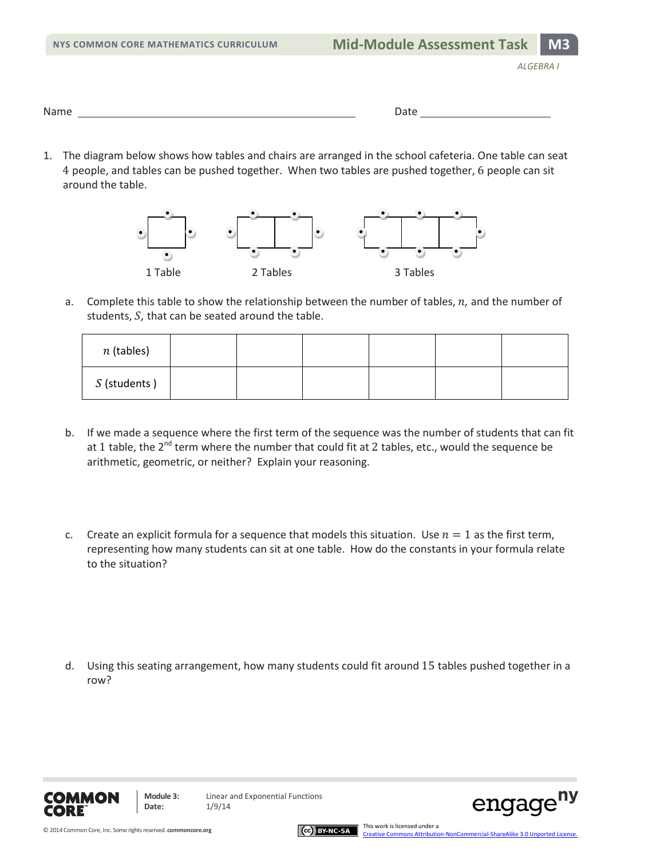| NYS COMMON CORE MATHEMATICS CURRICULUM |  |
|----------------------------------------|--|
|----------------------------------------|--|

| Nam<br>.<br>------ | $\overline{\phantom{a}}$<br>$  -$ |  |
|--------------------|-----------------------------------|--|
|                    |                                   |  |

1. The diagram below shows how tables and chairs are arranged in the school cafeteria. One table can seat 4 people, and tables can be pushed together. When two tables are pushed together, 6 people can sit around the table.



a. Complete this table to show the relationship between the number of tables, *n*, and the number of students, *S*, that can be seated around the table.

| $n$ (tables) |  |  |  |
|--------------|--|--|--|
| S (students) |  |  |  |

- b. If we made a sequence where the first term of the sequence was the number of students that can fit at 1 table, the 2<sup>nd</sup> term where the number that could fit at 2 tables, etc., would the sequence be arithmetic, geometric, or neither? Explain your reasoning.
- c. Create an explicit formula for a sequence that models this situation. Use  $n = 1$  as the first term, representing how many students can sit at one table. How do the constants in your formula relate to the situation?

d. Using this seating arrangement, how many students could fit around 15 tables pushed together in a row?





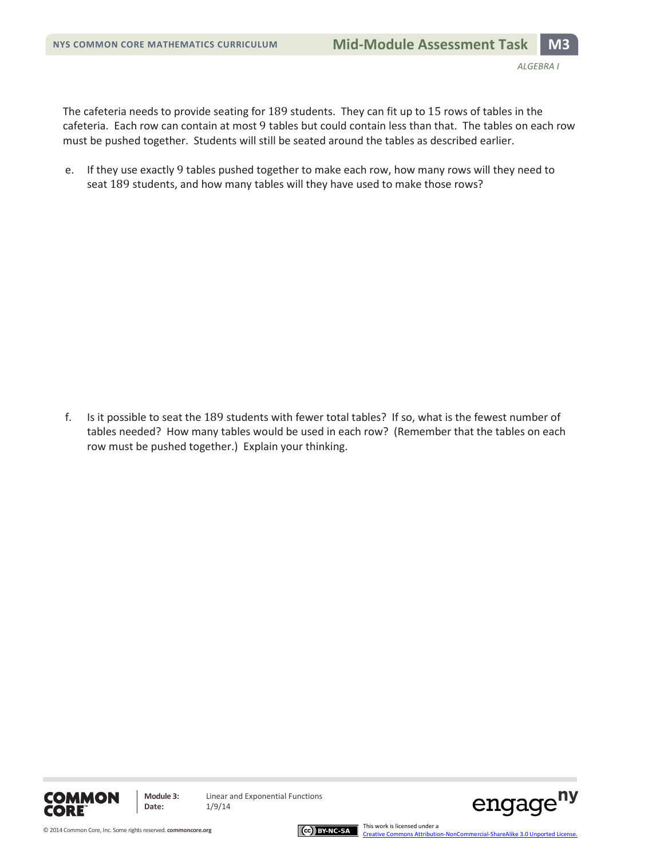The cafeteria needs to provide seating for 189 students. They can fit up to 15 rows of tables in the cafeteria. Each row can contain at most 9 tables but could contain less than that. The tables on each row must be pushed together. Students will still be seated around the tables as described earlier.

e. If they use exactly 9 tables pushed together to make each row, how many rows will they need to seat 189 students, and how many tables will they have used to make those rows?

f. Is it possible to seat the 189 students with fewer total tables? If so, what is the fewest number of tables needed? How many tables would be used in each row? (Remember that the tables on each row must be pushed together.) Explain your thinking.





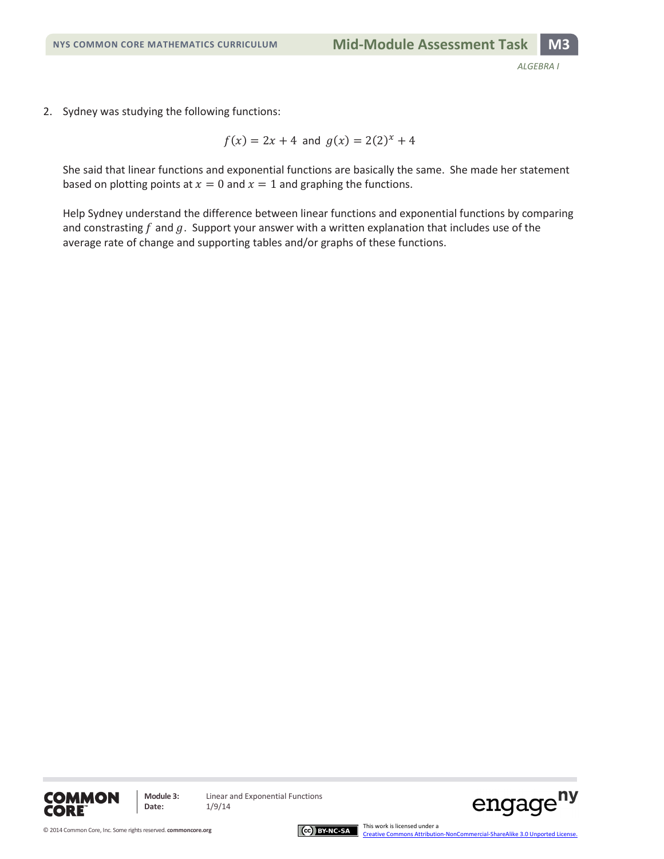2. Sydney was studying the following functions:

 $f(x) = 2x + 4$  and  $g(x) = 2(2)^{x} + 4$ 

She said that linear functions and exponential functions are basically the same. She made her statement based on plotting points at  $x = 0$  and  $x = 1$  and graphing the functions.

Help Sydney understand the difference between linear functions and exponential functions by comparing and constrasting  $f$  and  $g$ . Support your answer with a written explanation that includes use of the average rate of change and supporting tables and/or graphs of these functions.





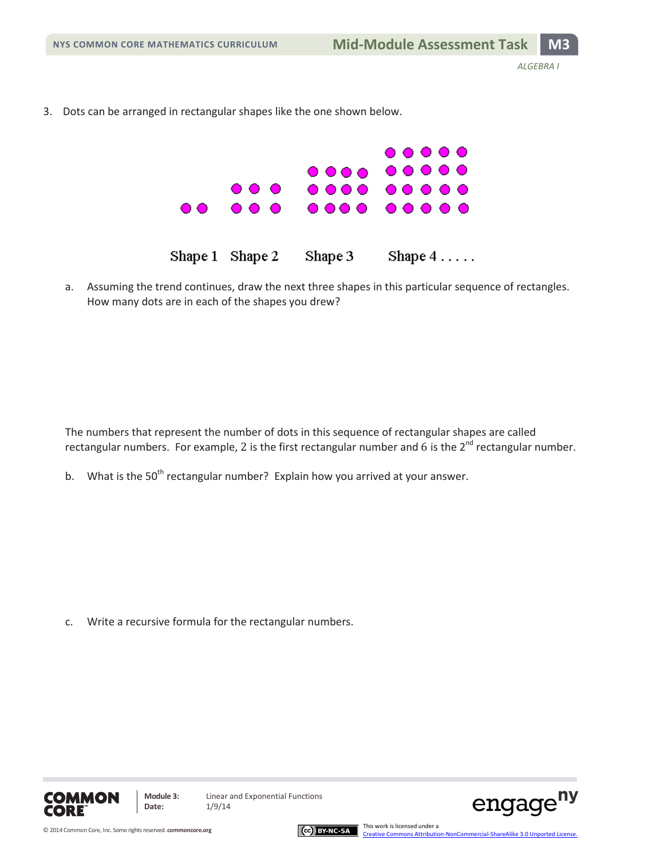3. Dots can be arranged in rectangular shapes like the one shown below.



a. Assuming the trend continues, draw the next three shapes in this particular sequence of rectangles. How many dots are in each of the shapes you drew?

The numbers that represent the number of dots in this sequence of rectangular shapes are called rectangular numbers. For example, 2 is the first rectangular number and 6 is the  $2^{nd}$  rectangular number.

b. What is the 50<sup>th</sup> rectangular number? Explain how you arrived at your answer.

c. Write a recursive formula for the rectangular numbers.



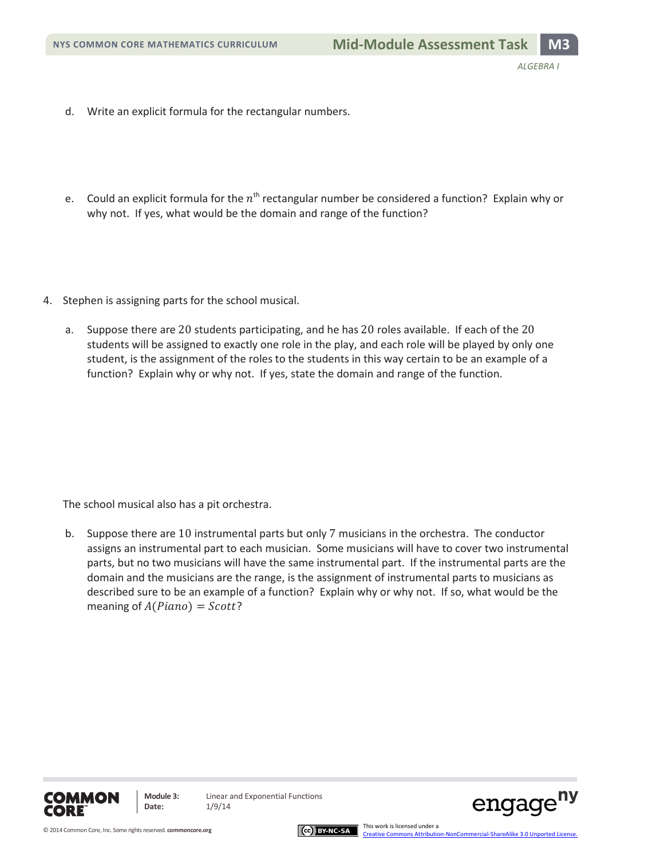- d. Write an explicit formula for the rectangular numbers.
- e. Could an explicit formula for the  $n^{\text{th}}$  rectangular number be considered a function? Explain why or why not. If yes, what would be the domain and range of the function?
- 4. Stephen is assigning parts for the school musical.
	- a. Suppose there are 20 students participating, and he has 20 roles available. If each of the 20 students will be assigned to exactly one role in the play, and each role will be played by only one student, is the assignment of the roles to the students in this way certain to be an example of a function? Explain why or why not. If yes, state the domain and range of the function.

The school musical also has a pit orchestra.

b. Suppose there are 10 instrumental parts but only 7 musicians in the orchestra. The conductor assigns an instrumental part to each musician. Some musicians will have to cover two instrumental parts, but no two musicians will have the same instrumental part. If the instrumental parts are the domain and the musicians are the range, is the assignment of instrumental parts to musicians as described sure to be an example of a function? Explain why or why not. If so, what would be the meaning of  $A(Plano) = Scott$ ?





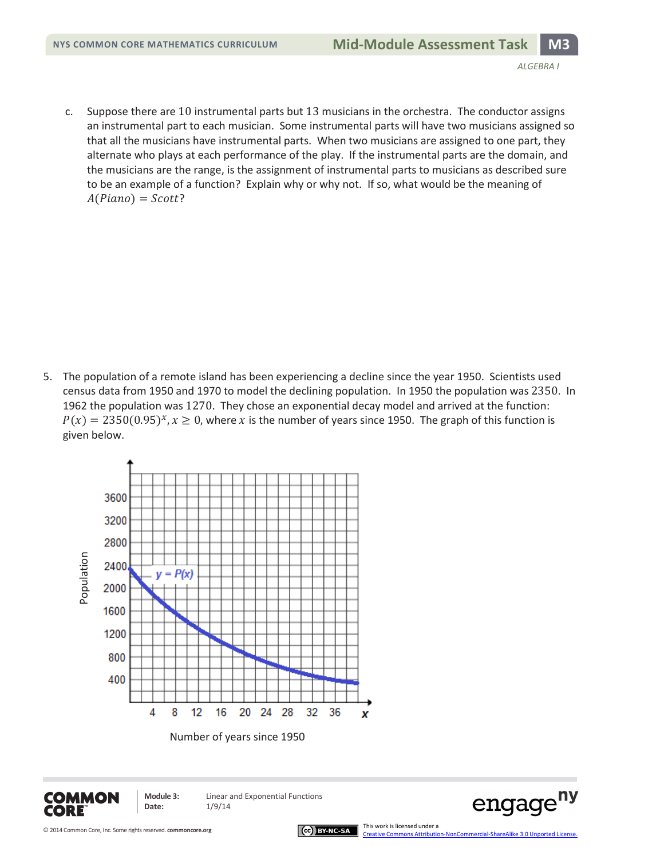c. Suppose there are 10 instrumental parts but 13 musicians in the orchestra. The conductor assigns an instrumental part to each musician. Some instrumental parts will have two musicians assigned so that all the musicians have instrumental parts. When two musicians are assigned to one part, they alternate who plays at each performance of the play. If the instrumental parts are the domain, and the musicians are the range, is the assignment of instrumental parts to musicians as described sure to be an example of a function? Explain why or why not. If so, what would be the meaning of  $A(Piano) = Scott?$ 

5. The population of a remote island has been experiencing a decline since the year 1950. Scientists used census data from 1950 and 1970 to model the declining population. In 1950 the population was 2350. In 1962 the population was 1270. They chose an exponential decay model and arrived at the function:  $P(x) = 2350(0.95)^{x}$ ,  $x \ge 0$ , where x is the number of years since 1950. The graph of this function is given below.



Number of years since 1950



**Date:** 1/9/14

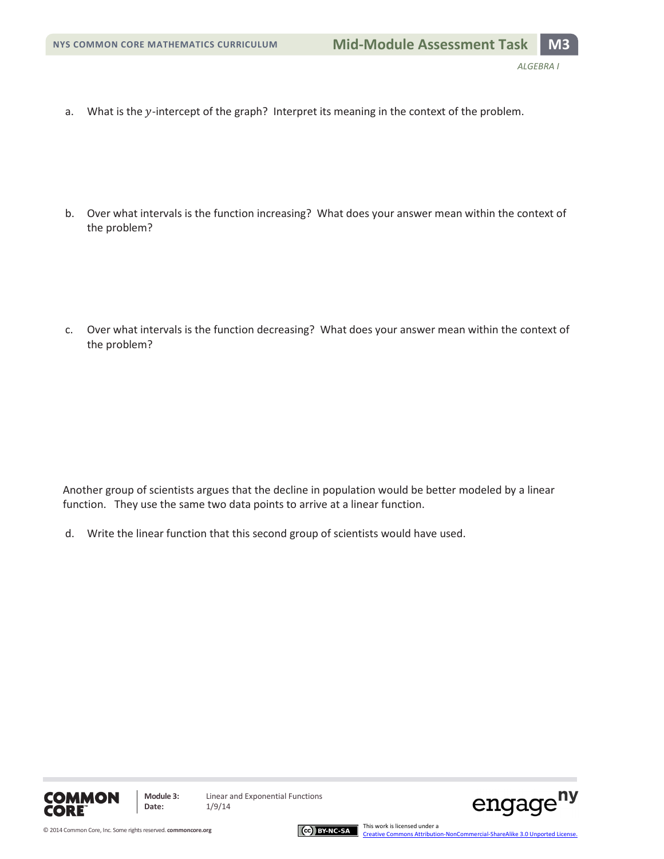a. What is the y-intercept of the graph? Interpret its meaning in the context of the problem.

b. Over what intervals is the function increasing? What does your answer mean within the context of the problem?

c. Over what intervals is the function decreasing? What does your answer mean within the context of the problem?

Another group of scientists argues that the decline in population would be better modeled by a linear function. They use the same two data points to arrive at a linear function.

d. Write the linear function that this second group of scientists would have used.





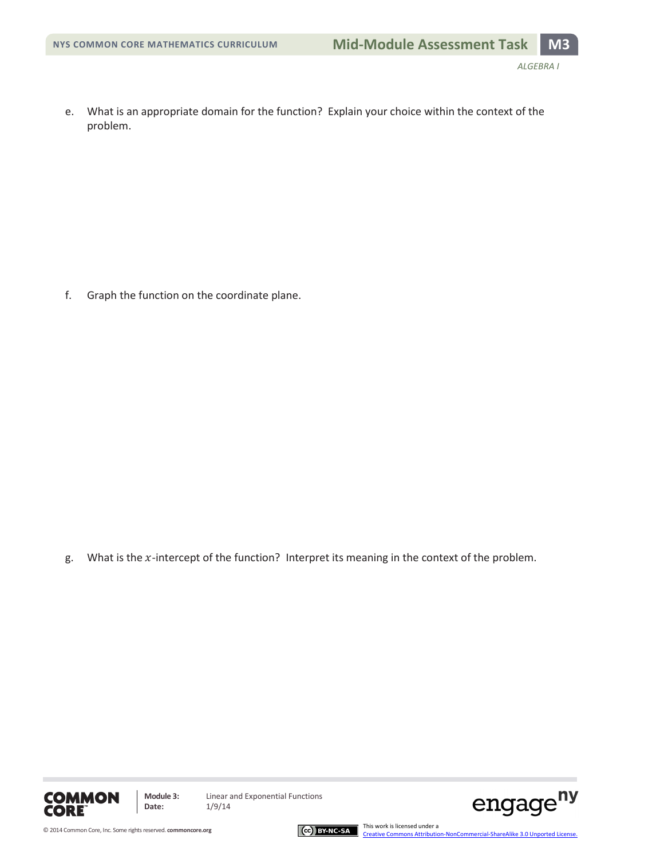e. What is an appropriate domain for the function? Explain your choice within the context of the problem.

f. Graph the function on the coordinate plane.

g. What is the  $x$ -intercept of the function? Interpret its meaning in the context of the problem.





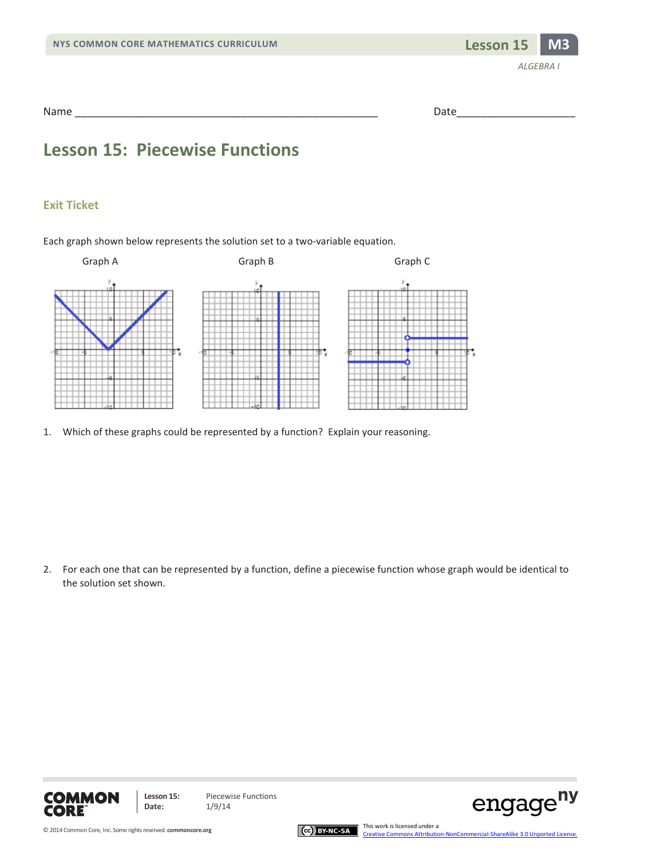

Name \_\_\_\_\_\_\_\_\_\_\_\_\_\_\_\_\_\_\_\_\_\_\_\_\_\_\_\_\_\_\_\_\_\_\_\_\_\_\_\_\_\_\_\_\_\_\_\_\_\_\_ Date\_\_\_\_\_\_\_\_\_\_\_\_\_\_\_\_\_\_\_\_

### **Lesson 15: Piecewise Functions**

#### **Exit Ticket**

Each graph shown below represents the solution set to a two-variable equation.



1. Which of these graphs could be represented by a function? Explain your reasoning.

2. For each one that can be represented by a function, define a piecewise function whose graph would be identical to the solution set shown.







engage<sup>ny</sup>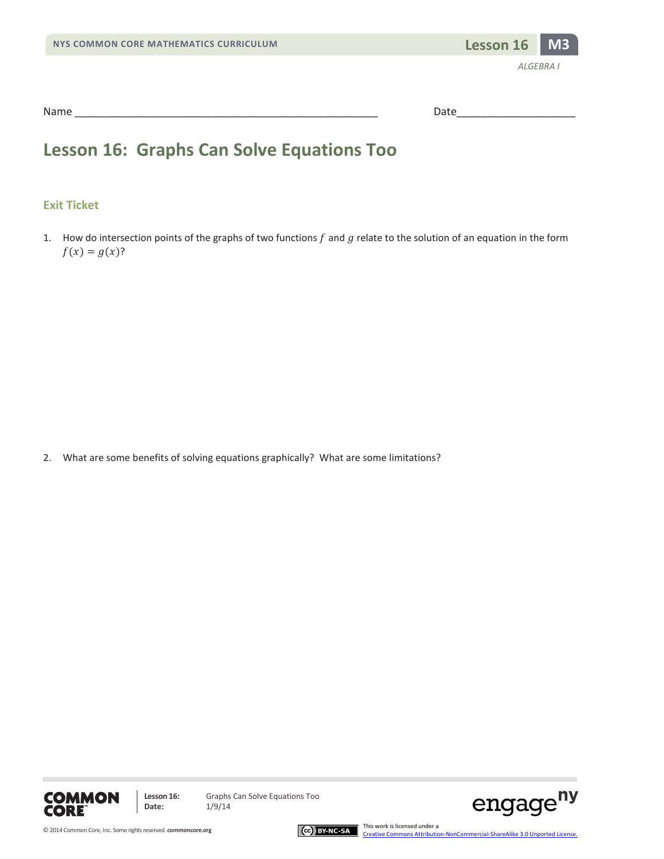

| Name | . |
|------|---|
|      |   |

### **Lesson 16: Graphs Can Solve Equations Too**

#### **Exit Ticket**

1. How do intersection points of the graphs of two functions  $f$  and  $g$  relate to the solution of an equation in the form  $f(x) = g(x)$ ?

2. What are some benefits of solving equations graphically? What are some limitations?



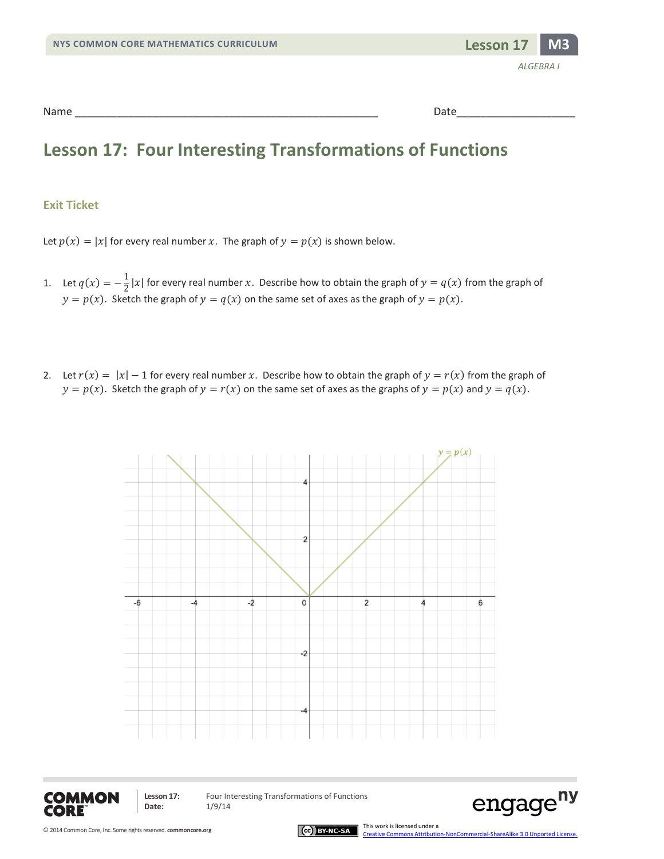### **Lesson 17: Four Interesting Transformations of Functions**

#### **Exit Ticket**

Let  $p(x) = |x|$  for every real number x. The graph of  $y = p(x)$  is shown below.

- 1. Let  $q(x) = -\frac{1}{2}|x|$  for every real number x. Describe how to obtain the graph of  $y = q(x)$  from the graph of  $y = p(x)$ . Sketch the graph of  $y = q(x)$  on the same set of axes as the graph of  $y = p(x)$ .
- 2. Let  $r(x) = |x| 1$  for every real number x. Describe how to obtain the graph of  $y = r(x)$  from the graph of  $y = p(x)$ . Sketch the graph of  $y = r(x)$  on the same set of axes as the graphs of  $y = p(x)$  and  $y = q(x)$ .





**Date:** 1/9/14

Lesson 17: Four Interesting Transformations of Functions



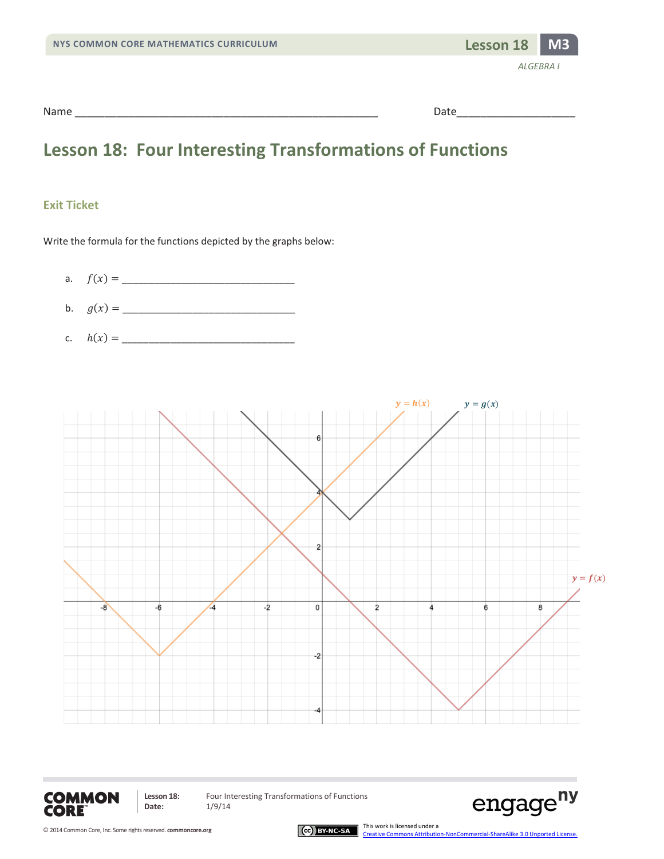| NYS COMMON CORE MATHEMATICS CURRICULUM | Lesson 18 M3 |                  |
|----------------------------------------|--------------|------------------|
|                                        |              | <b>ALGEBRA I</b> |
| Name                                   | Date         |                  |

### **Lesson 18: Four Interesting Transformations of Functions**

#### **Exit Ticket**

Write the formula for the functions depicted by the graphs below:

- a. () = \_\_\_\_\_\_\_\_\_\_\_\_\_\_\_\_\_\_\_\_\_\_\_\_\_\_\_\_\_\_\_\_
- b. () = \_\_\_\_\_\_\_\_\_\_\_\_\_\_\_\_\_\_\_\_\_\_\_\_\_\_\_\_\_\_\_\_
- c. ℎ() = \_\_\_\_\_\_\_\_\_\_\_\_\_\_\_\_\_\_\_\_\_\_\_\_\_\_\_\_\_\_\_\_





**Lesson 18:** Four Interesting Transformations of Functions<br>Date:  $1/9/14$ **Date:** 1/9/14



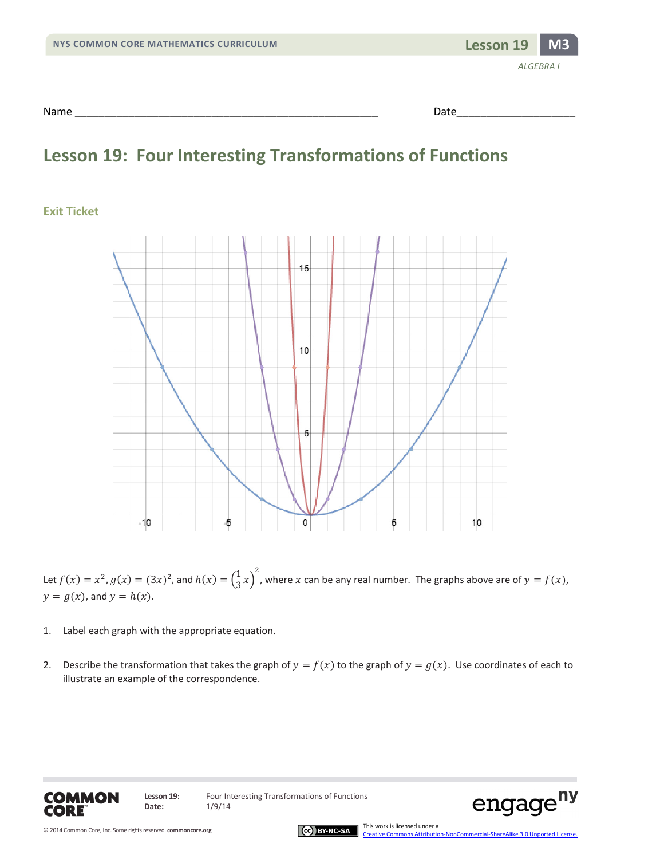| NYS COMMON CORE MATHEMATICS CURRICULUM | Lesson 19 | M3               |
|----------------------------------------|-----------|------------------|
|                                        |           | <b>ALGEBRA I</b> |
| Name                                   | Date      |                  |

### **Lesson 19: Four Interesting Transformations of Functions**

#### **Exit Ticket**



Let  $f(x) = x^2$ ,  $g(x) = (3x)^2$ , and  $h(x) = (\frac{1}{3}x)^2$ , where x can be any real number. The graphs above are of  $y = f(x)$ ,  $y = g(x)$ , and  $y = h(x)$ .

- 1. Label each graph with the appropriate equation.
- 2. Describe the transformation that takes the graph of  $y = f(x)$  to the graph of  $y = g(x)$ . Use coordinates of each to illustrate an example of the correspondence.



Lesson 19: Four Interesting Transformations of Functions



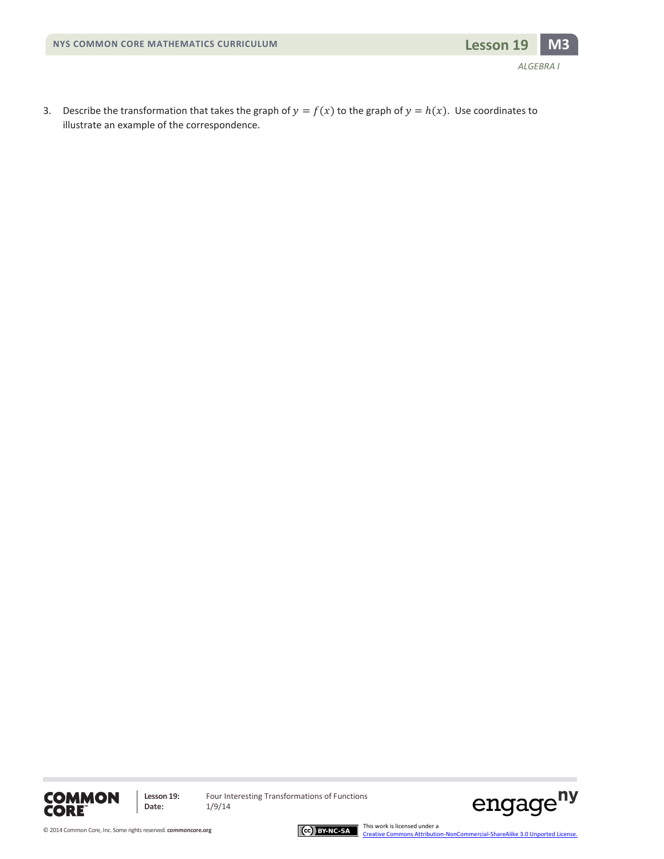

3. Describe the transformation that takes the graph of  $y = f(x)$  to the graph of  $y = h(x)$ . Use coordinates to illustrate an example of the correspondence.



**Lesson 19:** Four Interesting Transformations of Functions<br>Date:  $1/9/14$ **Date:** 1/9/14



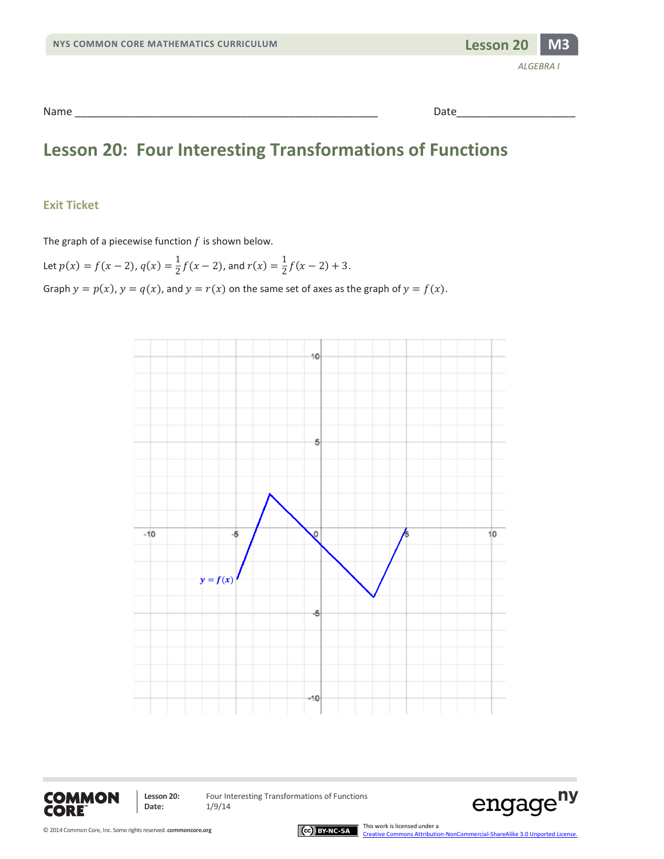

### **Lesson 20: Four Interesting Transformations of Functions**

#### **Exit Ticket**

The graph of a piecewise function  $f$  is shown below.

Let  $p(x) = f(x - 2)$ ,  $q(x) = \frac{1}{2}f(x - 2)$ , and  $r(x) = \frac{1}{2}f(x - 2) + 3$ . Graph  $y = p(x)$ ,  $y = q(x)$ , and  $y = r(x)$  on the same set of axes as the graph of  $y = f(x)$ .





**Date:** 1/9/14

Lesson 20: Four Interesting Transformations of Functions



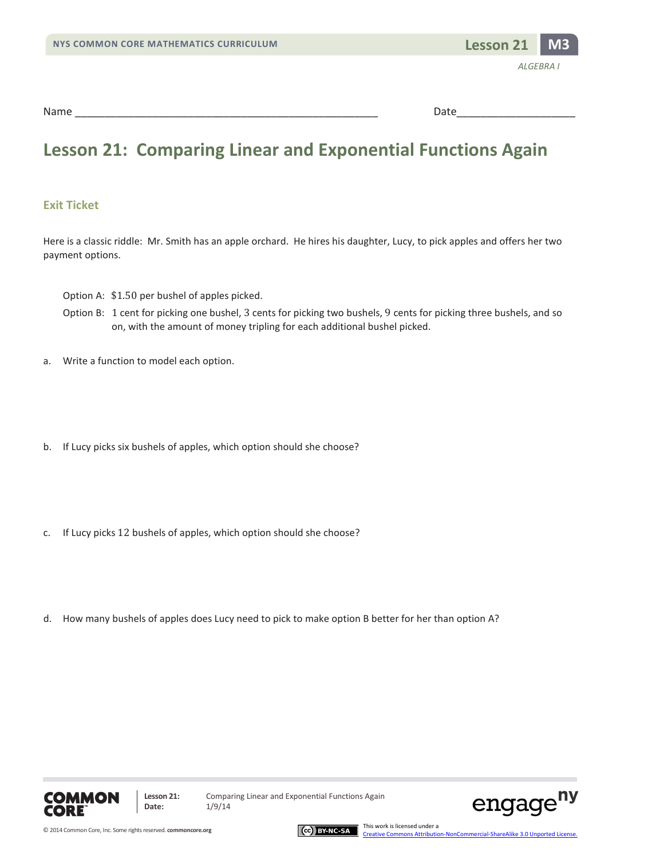

### **Lesson 21: Comparing Linear and Exponential Functions Again**

#### **Exit Ticket**

Here is a classic riddle: Mr. Smith has an apple orchard. He hires his daughter, Lucy, to pick apples and offers her two payment options.

Option A: \$1.50 per bushel of apples picked.

- Option B: 1 cent for picking one bushel, 3 cents for picking two bushels, 9 cents for picking three bushels, and so on, with the amount of money tripling for each additional bushel picked.
- a. Write a function to model each option.
- b. If Lucy picks six bushels of apples, which option should she choose?
- c. If Lucy picks 12 bushels of apples, which option should she choose?
- d. How many bushels of apples does Lucy need to pick to make option B better for her than option A?





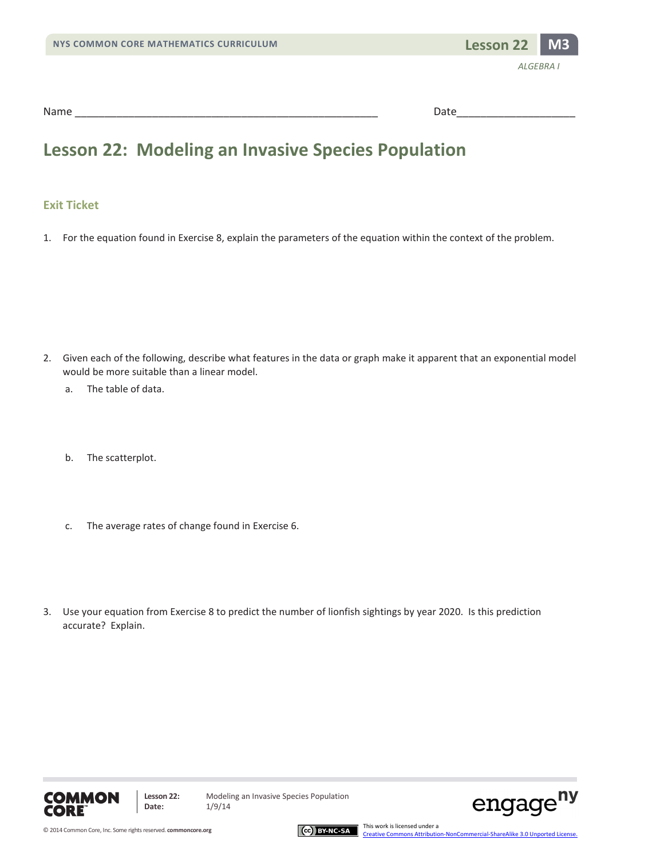

### **Lesson 22: Modeling an Invasive Species Population**

#### **Exit Ticket**

1. For the equation found in Exercise 8, explain the parameters of the equation within the context of the problem.

- 2. Given each of the following, describe what features in the data or graph make it apparent that an exponential model would be more suitable than a linear model.
	- a. The table of data.
	- b. The scatterplot.
	- c. The average rates of change found in Exercise 6.
- 3. Use your equation from Exercise 8 to predict the number of lionfish sightings by year 2020. Is this prediction accurate? Explain.



**Lesson 22:** Modeling an Invasive Species Population



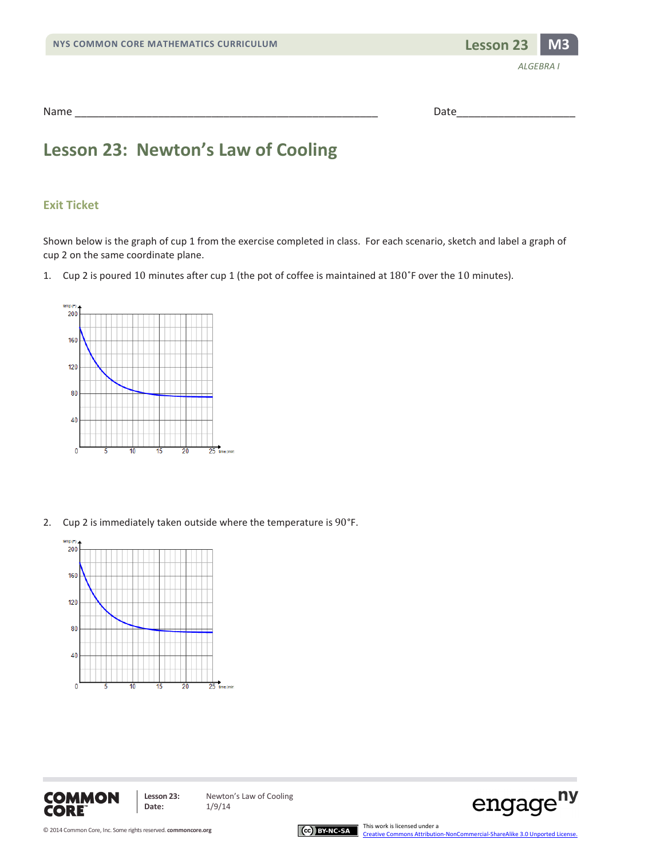

| Name | . |
|------|---|
|      |   |

### **Lesson 23: Newton's Law of Cooling**

#### **Exit Ticket**

Shown below is the graph of cup 1 from the exercise completed in class. For each scenario, sketch and label a graph of cup 2 on the same coordinate plane.

1. Cup 2 is poured 10 minutes after cup 1 (the pot of coffee is maintained at 180˚F over the 10 minutes).



2. Cup 2 is immediately taken outside where the temperature is 90°F.









[Creative Commons Attribution-NonCommercial-ShareAlike 3.0 Unported License.](http://creativecommons.org/licenses/by-nc-sa/3.0/deed.en_US)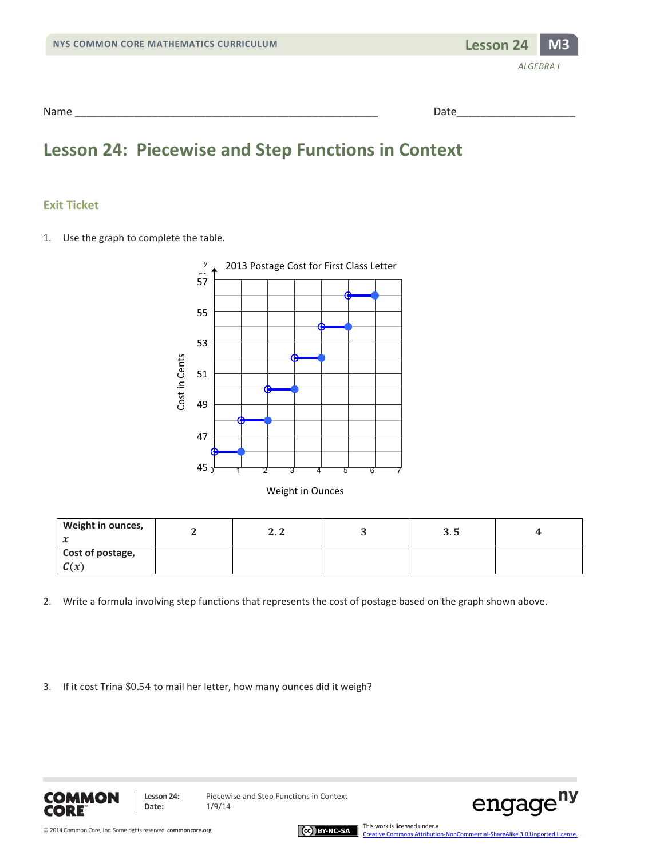

### **Lesson 24: Piecewise and Step Functions in Context**

#### **Exit Ticket**

1. Use the graph to complete the table.



|  |  | Weight in Ounces |  |
|--|--|------------------|--|
|--|--|------------------|--|

| Weight in ounces,<br>∼   | . . | ບ. ປ |  |
|--------------------------|-----|------|--|
| Cost of postage,<br>C(x) |     |      |  |

- 2. Write a formula involving step functions that represents the cost of postage based on the graph shown above.
- 3. If it cost Trina \$0.54 to mail her letter, how many ounces did it weigh?



**Lesson 24:** Piecewise and Step Functions in Context



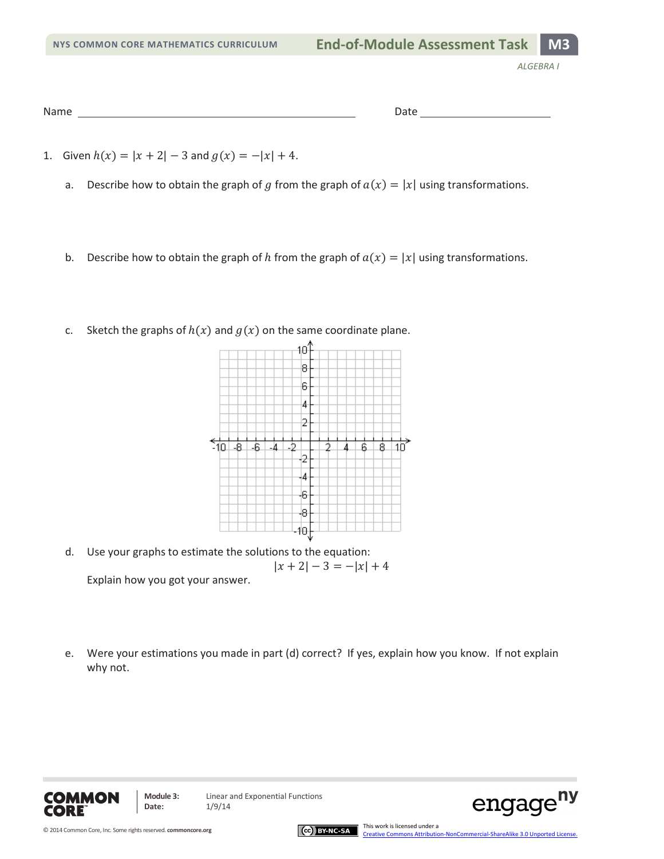```
Name Date
```
- 1. Given  $h(x) = |x + 2| 3$  and  $g(x) = -|x| + 4$ .
	- a. Describe how to obtain the graph of g from the graph of  $a(x) = |x|$  using transformations.
	- b. Describe how to obtain the graph of h from the graph of  $a(x) = |x|$  using transformations.
	- c. Sketch the graphs of  $h(x)$  and  $g(x)$  on the same coordinate plane.



- d. Use your graphs to estimate the solutions to the equation:  $|x + 2| - 3 = -|x| + 4$ Explain how you got your answer.
- e. Were your estimations you made in part (d) correct? If yes, explain how you know. If not explain why not.





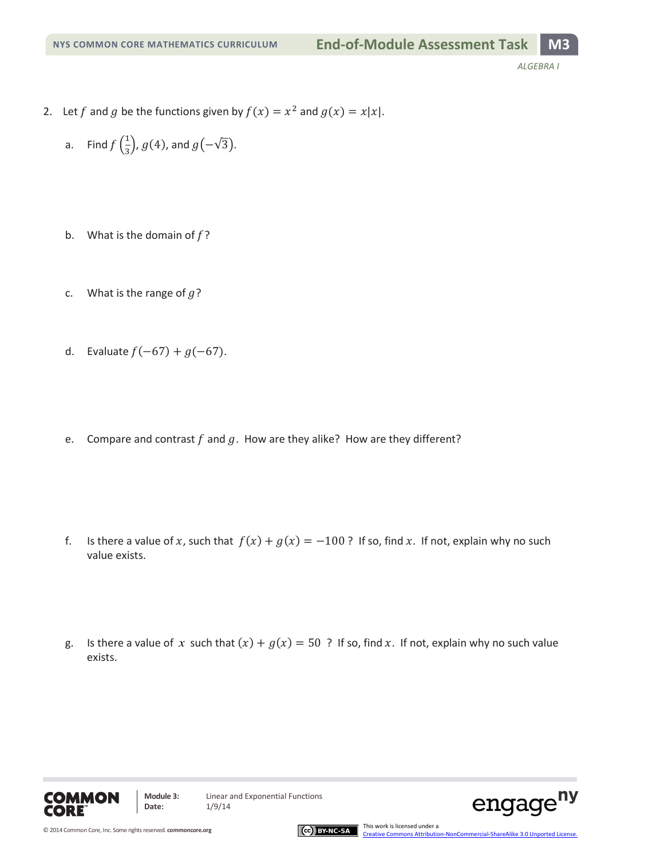- 2. Let f and g be the functions given by  $f(x) = x^2$  and  $g(x) = x|x|$ .
	- a. Find  $f\left(\frac{1}{3}\right)$ ,  $g(4)$ , and  $g\left(-\sqrt{3}\right)$ .
	- b. What is the domain of  $f$ ?
	- c. What is the range of  $q$ ?
	- d. Evaluate  $f(-67) + g(-67)$ .
	- e. Compare and contrast  $f$  and  $g$ . How are they alike? How are they different?

- f. Is there a value of x, such that  $f(x) + g(x) = -100$  ? If so, find x. If not, explain why no such value exists.
- g. Is there a value of x such that  $(x) + g(x) = 50$  ? If so, find x. If not, explain why no such value exists.



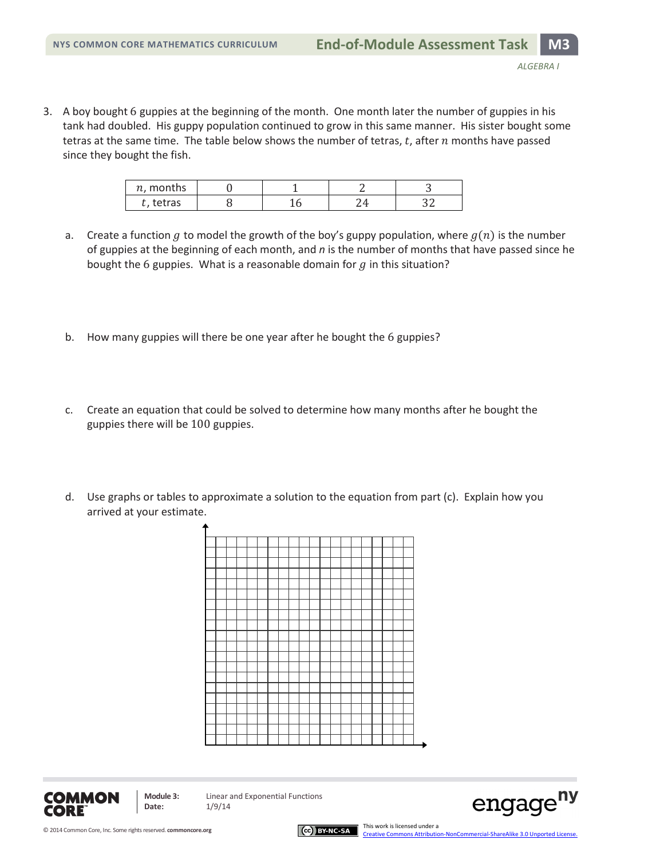3. A boy bought 6 guppies at the beginning of the month. One month later the number of guppies in his tank had doubled. His guppy population continued to grow in this same manner. His sister bought some tetras at the same time. The table below shows the number of tetras,  $t$ , after  $n$  months have passed since they bought the fish.

| $n$ , months |  |  |
|--------------|--|--|
| . tetras     |  |  |

- a. Create a function g to model the growth of the boy's guppy population, where  $g(n)$  is the number of guppies at the beginning of each month, and *n* is the number of months that have passed since he bought the 6 guppies. What is a reasonable domain for  $g$  in this situation?
- b. How many guppies will there be one year after he bought the 6 guppies?
- c. Create an equation that could be solved to determine how many months after he bought the guppies there will be 100 guppies.
- d. Use graphs or tables to approximate a solution to the equation from part (c). Explain how you arrived at your estimate.





**Date:** 1/9/14



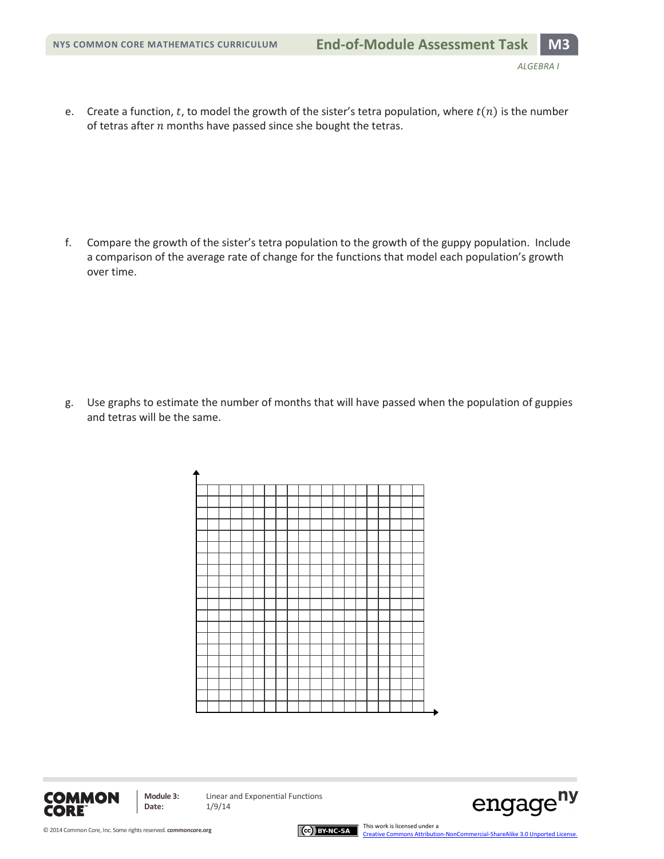e. Create a function, t, to model the growth of the sister's tetra population, where  $t(n)$  is the number of tetras after  $n$  months have passed since she bought the tetras.

f. Compare the growth of the sister's tetra population to the growth of the guppy population. Include a comparison of the average rate of change for the functions that model each population's growth over time.

g. Use graphs to estimate the number of months that will have passed when the population of guppies and tetras will be the same.





**Date:** 1/9/14



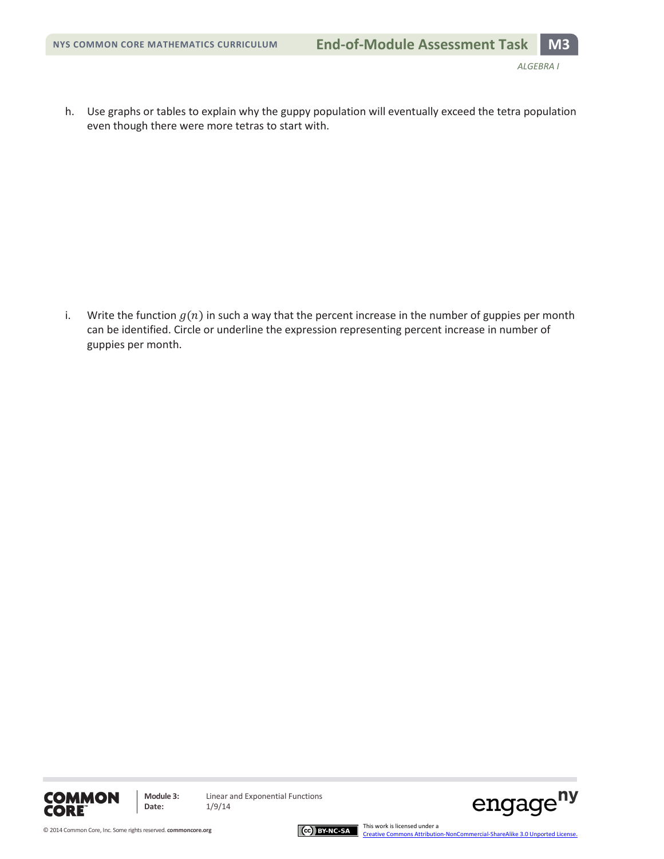h. Use graphs or tables to explain why the guppy population will eventually exceed the tetra population even though there were more tetras to start with.

i. Write the function  $g(n)$  in such a way that the percent increase in the number of guppies per month can be identified. Circle or underline the expression representing percent increase in number of guppies per month.







[Creative Commons Attribution-NonCommercial-ShareAlike 3.0 Unported License.](http://creativecommons.org/licenses/by-nc-sa/3.0/deed.en_US)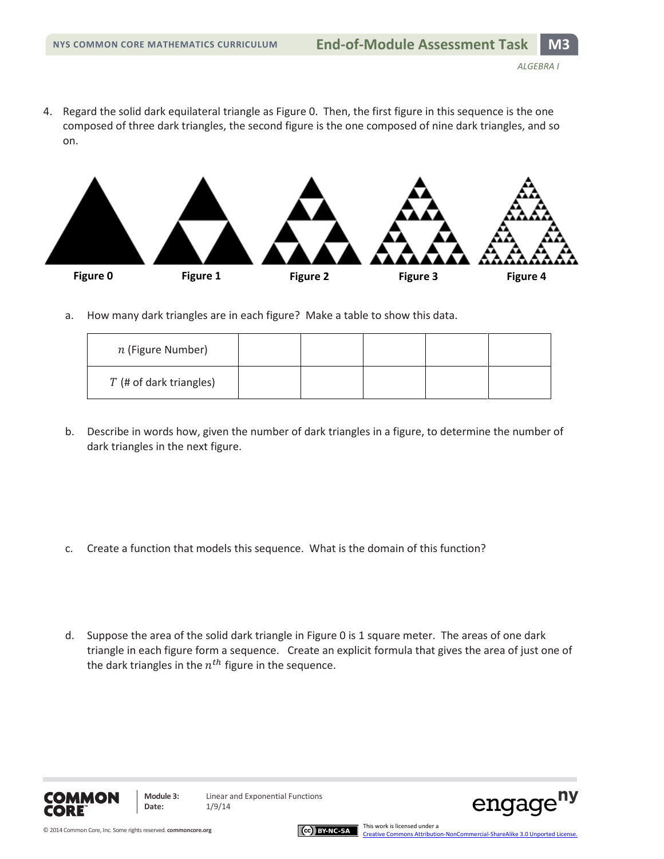4. Regard the solid dark equilateral triangle as Figure 0. Then, the first figure in this sequence is the one composed of three dark triangles, the second figure is the one composed of nine dark triangles, and so on.



a. How many dark triangles are in each figure? Make a table to show this data.

| $n$ (Figure Number)       |  |  |  |
|---------------------------|--|--|--|
| $T$ (# of dark triangles) |  |  |  |

b. Describe in words how, given the number of dark triangles in a figure, to determine the number of dark triangles in the next figure.

- c. Create a function that models this sequence. What is the domain of this function?
- d. Suppose the area of the solid dark triangle in Figure 0 is 1 square meter. The areas of one dark triangle in each figure form a sequence. Create an explicit formula that gives the area of just one of the dark triangles in the  $n^{th}$  figure in the sequence.



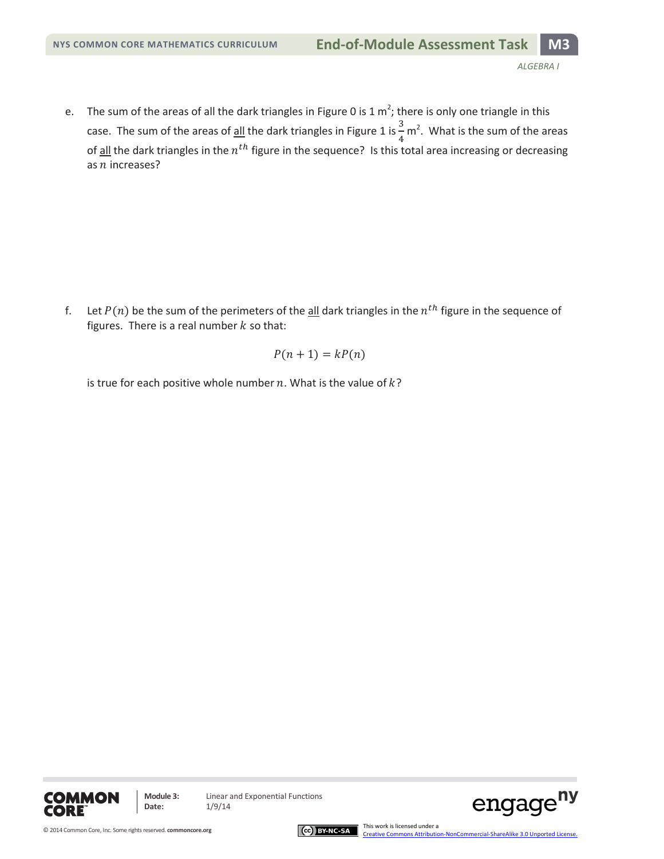e. The sum of the areas of all the dark triangles in Figure 0 is 1  $m^2$ ; there is only one triangle in this case. The sum of the areas of <u>all</u> the dark triangles in Figure 1 is  $\frac{3}{7}$  m<sup>2</sup>. What is the sum of the areas of <u>all</u> the dark triangles in the  $n^{th}$  figure in the sequence? Is this total area increasing or decreasing as  $n$  increases?

f. Let  $P(n)$  be the sum of the perimeters of the all dark triangles in the  $n<sup>th</sup>$  figure in the sequence of figures. There is a real number  $k$  so that:

$$
P(n+1) = kP(n)
$$

is true for each positive whole number  $n$ . What is the value of  $k$ ?





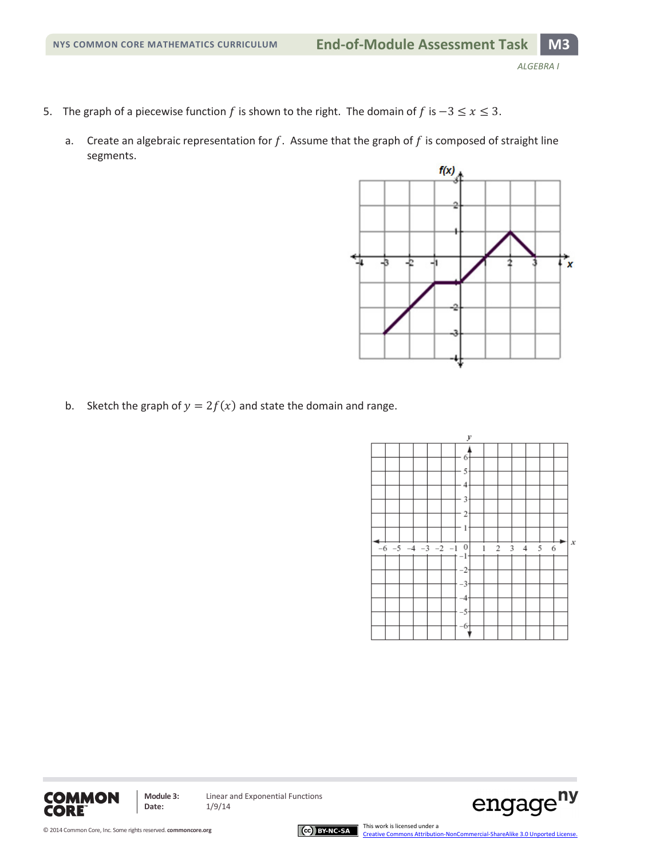- 5. The graph of a piecewise function f is shown to the right. The domain of f is  $-3 \le x \le 3$ .
	- a. Create an algebraic representation for  $f$ . Assume that the graph of  $f$  is composed of straight line segments.



b. Sketch the graph of  $y = 2f(x)$  and state the domain and range.

**Module 3:** Linear and Exponential Functions

**Date:** 1/9/14





**COMMON CORE**